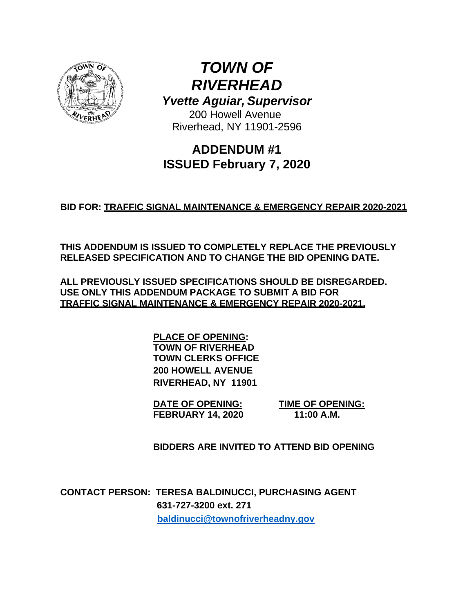

*TOWN OF RIVERHEAD Yvette Aguiar, Supervisor* 200 Howell Avenue

Riverhead, NY 11901-2596

**ADDENDUM #1 ISSUED February 7, 2020** 

**BID FOR: TRAFFIC SIGNAL MAINTENANCE & EMERGENCY REPAIR 2020-2021** 

**THIS ADDENDUM IS ISSUED TO COMPLETELY REPLACE THE PREVIOUSLY RELEASED SPECIFICATION AND TO CHANGE THE BID OPENING DATE.** 

**ALL PREVIOUSLY ISSUED SPECIFICATIONS SHOULD BE DISREGARDED. USE ONLY THIS ADDENDUM PACKAGE TO SUBMIT A BID FOR TRAFFIC SIGNAL MAINTENANCE & EMERGENCY REPAIR 2020-2021.** 

> **PLACE OF OPENING: TOWN OF RIVERHEAD TOWN CLERKS OFFICE 200 HOWELL AVENUE RIVERHEAD, NY 11901**

**DATE OF OPENING: TIME OF OPENING: FEBRUARY 14, 2020 11:00 A.M.** 

**BIDDERS ARE INVITED TO ATTEND BID OPENING**

**CONTACT PERSON: TERESA BALDINUCCI, PURCHASING AGENT 631-727-3200 ext. 271 baldinucci@townofriverheadny.gov**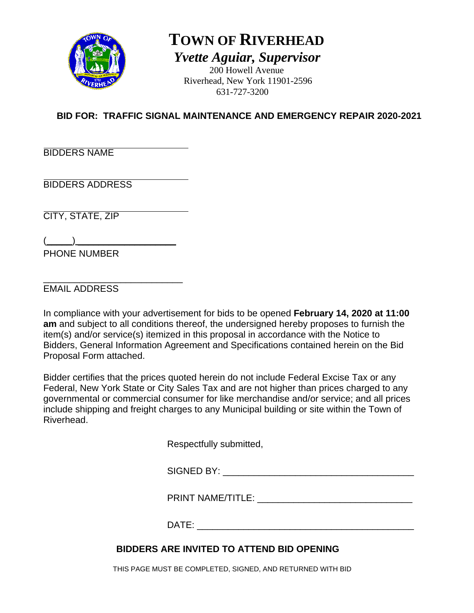

# **TOWN OF RIVERHEAD**  *Yvette Aguiar, Supervisor*

 200 Howell Avenue Riverhead, New York 11901-2596 631-727-3200

## **BID FOR: TRAFFIC SIGNAL MAINTENANCE AND EMERGENCY REPAIR 2020-2021**

BIDDERS NAME

BIDDERS ADDRESS

CITY, STATE, ZIP

| <b>PHONE NUMBER</b> |  |
|---------------------|--|

\_\_\_\_\_\_\_\_\_\_\_\_\_\_\_\_\_\_\_\_\_\_\_\_\_\_\_ EMAIL ADDRESS

In compliance with your advertisement for bids to be opened **February 14, 2020 at 11:00 am** and subject to all conditions thereof, the undersigned hereby proposes to furnish the item(s) and/or service(s) itemized in this proposal in accordance with the Notice to Bidders, General Information Agreement and Specifications contained herein on the Bid Proposal Form attached.

Bidder certifies that the prices quoted herein do not include Federal Excise Tax or any Federal, New York State or City Sales Tax and are not higher than prices charged to any governmental or commercial consumer for like merchandise and/or service; and all prices include shipping and freight charges to any Municipal building or site within the Town of Riverhead.

Respectfully submitted,

SIGNED BY:  $\blacksquare$ 

PRINT NAME/TITLE: **We have:**  $\blacksquare$ 

 $\mathsf{DATE}:\mathsf{A}\longrightarrow\mathsf{A}\longrightarrow\mathsf{A}\longrightarrow\mathsf{A}\longrightarrow\mathsf{A}\longrightarrow\mathsf{A}\longrightarrow\mathsf{A}\longrightarrow\mathsf{A}\longrightarrow\mathsf{A}\longrightarrow\mathsf{A}\longrightarrow\mathsf{A}\longrightarrow\mathsf{A}\longrightarrow\mathsf{A}\longrightarrow\mathsf{A}\longrightarrow\mathsf{A}\longrightarrow\mathsf{A}\longrightarrow\mathsf{A}\longrightarrow\mathsf{A}\longrightarrow\mathsf{A}\longrightarrow\mathsf{A}\longrightarrow\mathsf{A}\longrightarrow\mathsf{A}\longrightarrow\mathsf{A}\longrightarrow\mathsf{A}\longrightarrow\mathsf{A}\longrightarrow\mathsf{A}\longrightarrow\mathsf{A}\longrightarrow\mathsf{A}\longrightarrow\mathsf{A}\longrightarrow\mathsf{A}\longrightarrow\mathsf$ 

## **BIDDERS ARE INVITED TO ATTEND BID OPENING**

THIS PAGE MUST BE COMPLETED, SIGNED, AND RETURNED WITH BID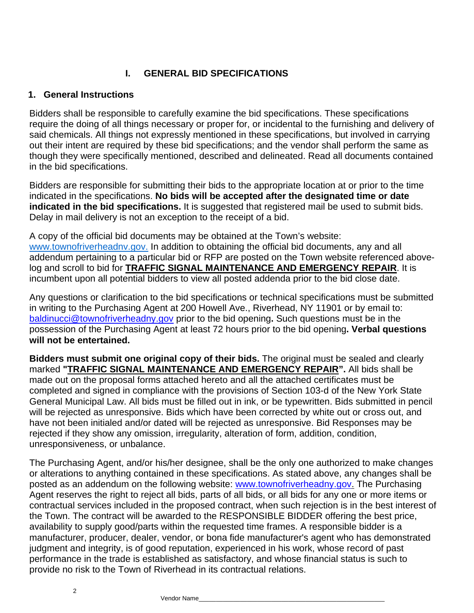## **I. GENERAL BID SPECIFICATIONS**

#### **1. General Instructions**

Bidders shall be responsible to carefully examine the bid specifications. These specifications require the doing of all things necessary or proper for, or incidental to the furnishing and delivery of said chemicals. All things not expressly mentioned in these specifications, but involved in carrying out their intent are required by these bid specifications; and the vendor shall perform the same as though they were specifically mentioned, described and delineated. Read all documents contained in the bid specifications.

Bidders are responsible for submitting their bids to the appropriate location at or prior to the time indicated in the specifications. **No bids will be accepted after the designated time or date indicated in the bid specifications.** It is suggested that registered mail be used to submit bids. Delay in mail delivery is not an exception to the receipt of a bid.

A copy of the official bid documents may be obtained at the Town's website: www.townofriverheadnv.gov. In addition to obtaining the official bid documents, any and all addendum pertaining to a particular bid or RFP are posted on the Town website referenced abovelog and scroll to bid for **TRAFFIC SIGNAL MAINTENANCE AND EMERGENCY REPAIR**. It is incumbent upon all potential bidders to view all posted addenda prior to the bid close date.

Any questions or clarification to the bid specifications or technical specifications must be submitted in writing to the Purchasing Agent at 200 Howell Ave., Riverhead, NY 11901 or by email to: baldinucci@townofriverheadny.gov prior to the bid opening**.** Such questions must be in the possession of the Purchasing Agent at least 72 hours prior to the bid opening**. Verbal questions will not be entertained.** 

**Bidders must submit one original copy of their bids.** The original must be sealed and clearly marked **"TRAFFIC SIGNAL MAINTENANCE AND EMERGENCY REPAIR".** All bids shall be made out on the proposal forms attached hereto and all the attached certificates must be completed and signed in compliance with the provisions of Section 103-d of the New York State General Municipal Law. All bids must be filled out in ink, or be typewritten. Bids submitted in pencil will be rejected as unresponsive. Bids which have been corrected by white out or cross out, and have not been initialed and/or dated will be rejected as unresponsive. Bid Responses may be rejected if they show any omission, irregularity, alteration of form, addition, condition, unresponsiveness, or unbalance.

The Purchasing Agent, and/or his/her designee, shall be the only one authorized to make changes or alterations to anything contained in these specifications. As stated above, any changes shall be posted as an addendum on the following website: www.townofriverheadny.gov. The Purchasing Agent reserves the right to reject all bids, parts of all bids, or all bids for any one or more items or contractual services included in the proposed contract, when such rejection is in the best interest of the Town. The contract will be awarded to the RESPONSIBLE BIDDER offering the best price, availability to supply good/parts within the requested time frames. A responsible bidder is a manufacturer, producer, dealer, vendor, or bona fide manufacturer's agent who has demonstrated judgment and integrity, is of good reputation, experienced in his work, whose record of past performance in the trade is established as satisfactory, and whose financial status is such to provide no risk to the Town of Riverhead in its contractual relations.

2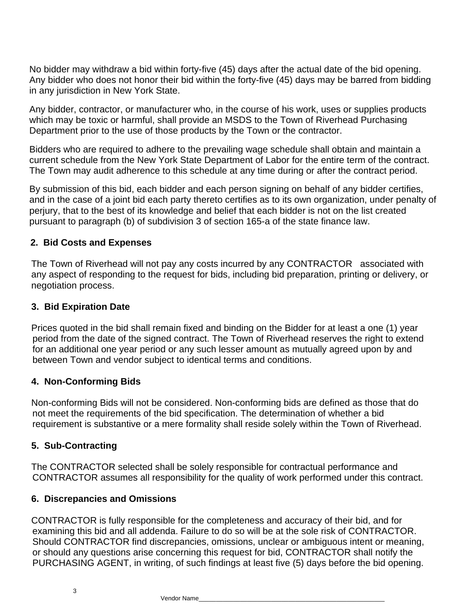No bidder may withdraw a bid within forty-five (45) days after the actual date of the bid opening. Any bidder who does not honor their bid within the forty-five (45) days may be barred from bidding in any jurisdiction in New York State.

Any bidder, contractor, or manufacturer who, in the course of his work, uses or supplies products which may be toxic or harmful, shall provide an MSDS to the Town of Riverhead Purchasing Department prior to the use of those products by the Town or the contractor.

Bidders who are required to adhere to the prevailing wage schedule shall obtain and maintain a current schedule from the New York State Department of Labor for the entire term of the contract. The Town may audit adherence to this schedule at any time during or after the contract period.

By submission of this bid, each bidder and each person signing on behalf of any bidder certifies, and in the case of a joint bid each party thereto certifies as to its own organization, under penalty of perjury, that to the best of its knowledge and belief that each bidder is not on the list created pursuant to paragraph (b) of subdivision 3 of section 165-a of the state finance law.

## **2. Bid Costs and Expenses**

 The Town of Riverhead will not pay any costs incurred by any CONTRACTOR associated with any aspect of responding to the request for bids, including bid preparation, printing or delivery, or negotiation process.

## **3. Bid Expiration Date**

Prices quoted in the bid shall remain fixed and binding on the Bidder for at least a one (1) year period from the date of the signed contract. The Town of Riverhead reserves the right to extend for an additional one year period or any such lesser amount as mutually agreed upon by and between Town and vendor subject to identical terms and conditions.

## **4. Non-Conforming Bids**

Non-conforming Bids will not be considered. Non-conforming bids are defined as those that do not meet the requirements of the bid specification. The determination of whether a bid requirement is substantive or a mere formality shall reside solely within the Town of Riverhead.

## **5. Sub-Contracting**

The CONTRACTOR selected shall be solely responsible for contractual performance and CONTRACTOR assumes all responsibility for the quality of work performed under this contract.

## **6. Discrepancies and Omissions**

CONTRACTOR is fully responsible for the completeness and accuracy of their bid, and for examining this bid and all addenda. Failure to do so will be at the sole risk of CONTRACTOR. Should CONTRACTOR find discrepancies, omissions, unclear or ambiguous intent or meaning, or should any questions arise concerning this request for bid, CONTRACTOR shall notify the PURCHASING AGENT, in writing, of such findings at least five (5) days before the bid opening.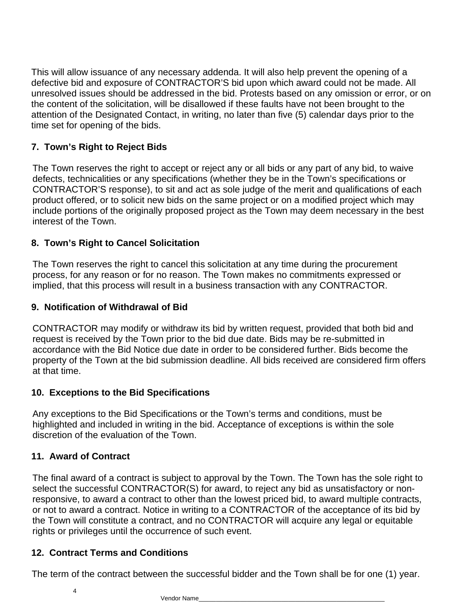This will allow issuance of any necessary addenda. It will also help prevent the opening of a defective bid and exposure of CONTRACTOR'S bid upon which award could not be made. All unresolved issues should be addressed in the bid. Protests based on any omission or error, or on the content of the solicitation, will be disallowed if these faults have not been brought to the attention of the Designated Contact, in writing, no later than five (5) calendar days prior to the time set for opening of the bids.

## **7. Town's Right to Reject Bids**

The Town reserves the right to accept or reject any or all bids or any part of any bid, to waive defects, technicalities or any specifications (whether they be in the Town's specifications or CONTRACTOR'S response), to sit and act as sole judge of the merit and qualifications of each product offered, or to solicit new bids on the same project or on a modified project which may include portions of the originally proposed project as the Town may deem necessary in the best interest of the Town.

## **8. Town's Right to Cancel Solicitation**

The Town reserves the right to cancel this solicitation at any time during the procurement process, for any reason or for no reason. The Town makes no commitments expressed or implied, that this process will result in a business transaction with any CONTRACTOR.

## **9. Notification of Withdrawal of Bid**

CONTRACTOR may modify or withdraw its bid by written request, provided that both bid and request is received by the Town prior to the bid due date. Bids may be re-submitted in accordance with the Bid Notice due date in order to be considered further. Bids become the property of the Town at the bid submission deadline. All bids received are considered firm offers at that time.

## **10. Exceptions to the Bid Specifications**

Any exceptions to the Bid Specifications or the Town's terms and conditions, must be highlighted and included in writing in the bid. Acceptance of exceptions is within the sole discretion of the evaluation of the Town.

## **11. Award of Contract**

4

The final award of a contract is subject to approval by the Town. The Town has the sole right to select the successful CONTRACTOR(S) for award, to reject any bid as unsatisfactory or nonresponsive, to award a contract to other than the lowest priced bid, to award multiple contracts, or not to award a contract. Notice in writing to a CONTRACTOR of the acceptance of its bid by the Town will constitute a contract, and no CONTRACTOR will acquire any legal or equitable rights or privileges until the occurrence of such event.

## **12. Contract Terms and Conditions**

The term of the contract between the successful bidder and the Town shall be for one (1) year.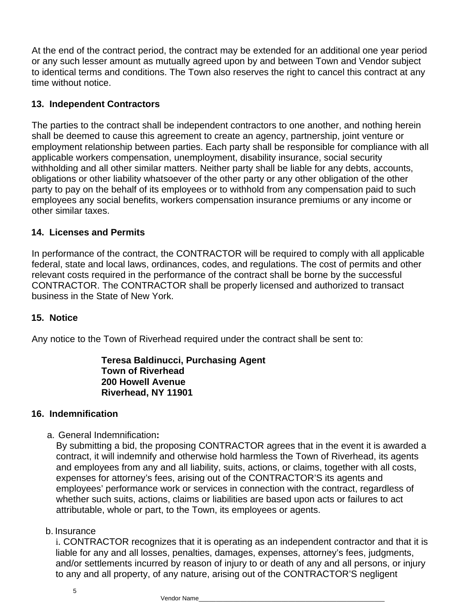At the end of the contract period, the contract may be extended for an additional one year period or any such lesser amount as mutually agreed upon by and between Town and Vendor subject to identical terms and conditions. The Town also reserves the right to cancel this contract at any time without notice.

#### **13. Independent Contractors**

The parties to the contract shall be independent contractors to one another, and nothing herein shall be deemed to cause this agreement to create an agency, partnership, joint venture or employment relationship between parties. Each party shall be responsible for compliance with all applicable workers compensation, unemployment, disability insurance, social security withholding and all other similar matters. Neither party shall be liable for any debts, accounts, obligations or other liability whatsoever of the other party or any other obligation of the other party to pay on the behalf of its employees or to withhold from any compensation paid to such employees any social benefits, workers compensation insurance premiums or any income or other similar taxes.

#### **14. Licenses and Permits**

In performance of the contract, the CONTRACTOR will be required to comply with all applicable federal, state and local laws, ordinances, codes, and regulations. The cost of permits and other relevant costs required in the performance of the contract shall be borne by the successful CONTRACTOR. The CONTRACTOR shall be properly licensed and authorized to transact business in the State of New York.

## **15. Notice**

Any notice to the Town of Riverhead required under the contract shall be sent to:

**Teresa Baldinucci, Purchasing Agent Town of Riverhead 200 Howell Avenue Riverhead, NY 11901** 

#### **16. Indemnification**

a. General Indemnification**:**

By submitting a bid, the proposing CONTRACTOR agrees that in the event it is awarded a contract, it will indemnify and otherwise hold harmless the Town of Riverhead, its agents and employees from any and all liability, suits, actions, or claims, together with all costs, expenses for attorney's fees, arising out of the CONTRACTOR'S its agents and employees' performance work or services in connection with the contract, regardless of whether such suits, actions, claims or liabilities are based upon acts or failures to act attributable, whole or part, to the Town, its employees or agents.

b. Insurance

i. CONTRACTOR recognizes that it is operating as an independent contractor and that it is liable for any and all losses, penalties, damages, expenses, attorney's fees, judgments, and/or settlements incurred by reason of injury to or death of any and all persons, or injury to any and all property, of any nature, arising out of the CONTRACTOR'S negligent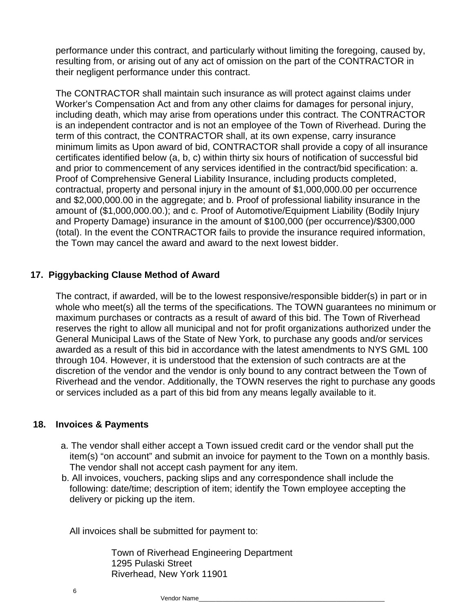performance under this contract, and particularly without limiting the foregoing, caused by, resulting from, or arising out of any act of omission on the part of the CONTRACTOR in their negligent performance under this contract.

The CONTRACTOR shall maintain such insurance as will protect against claims under Worker's Compensation Act and from any other claims for damages for personal injury, including death, which may arise from operations under this contract. The CONTRACTOR is an independent contractor and is not an employee of the Town of Riverhead. During the term of this contract, the CONTRACTOR shall, at its own expense, carry insurance minimum limits as Upon award of bid, CONTRACTOR shall provide a copy of all insurance certificates identified below (a, b, c) within thirty six hours of notification of successful bid and prior to commencement of any services identified in the contract/bid specification: a. Proof of Comprehensive General Liability Insurance, including products completed, contractual, property and personal injury in the amount of \$1,000,000.00 per occurrence and \$2,000,000.00 in the aggregate; and b. Proof of professional liability insurance in the amount of (\$1,000,000.00.); and c. Proof of Automotive/Equipment Liability (Bodily Injury and Property Damage) insurance in the amount of \$100,000 (per occurrence)/\$300,000 (total). In the event the CONTRACTOR fails to provide the insurance required information, the Town may cancel the award and award to the next lowest bidder.

#### **17. Piggybacking Clause Method of Award**

The contract, if awarded, will be to the lowest responsive/responsible bidder(s) in part or in whole who meet(s) all the terms of the specifications. The TOWN quarantees no minimum or maximum purchases or contracts as a result of award of this bid. The Town of Riverhead reserves the right to allow all municipal and not for profit organizations authorized under the General Municipal Laws of the State of New York, to purchase any goods and/or services awarded as a result of this bid in accordance with the latest amendments to NYS GML 100 through 104. However, it is understood that the extension of such contracts are at the discretion of the vendor and the vendor is only bound to any contract between the Town of Riverhead and the vendor. Additionally, the TOWN reserves the right to purchase any goods or services included as a part of this bid from any means legally available to it.

#### **18. Invoices & Payments**

- a. The vendor shall either accept a Town issued credit card or the vendor shall put the item(s) "on account" and submit an invoice for payment to the Town on a monthly basis. The vendor shall not accept cash payment for any item.
- b. All invoices, vouchers, packing slips and any correspondence shall include the following: date/time; description of item; identify the Town employee accepting the delivery or picking up the item.

All invoices shall be submitted for payment to:

Town of Riverhead Engineering Department 1295 Pulaski Street Riverhead, New York 11901

6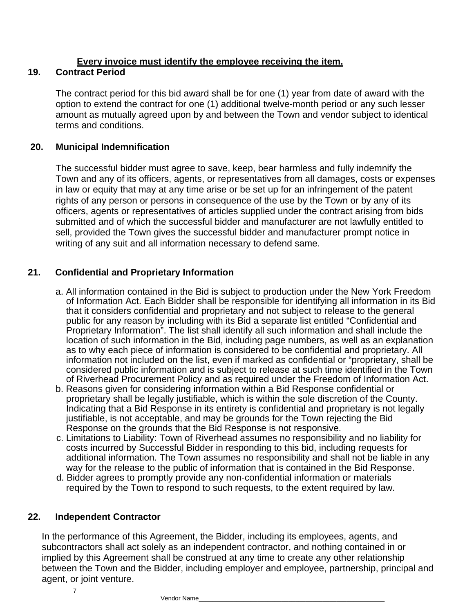#### **Every invoice must identify the employee receiving the item.**

#### **19. Contract Period**

The contract period for this bid award shall be for one (1) year from date of award with the option to extend the contract for one (1) additional twelve-month period or any such lesser amount as mutually agreed upon by and between the Town and vendor subject to identical terms and conditions.

#### **20. Municipal Indemnification**

The successful bidder must agree to save, keep, bear harmless and fully indemnify the Town and any of its officers, agents, or representatives from all damages, costs or expenses in law or equity that may at any time arise or be set up for an infringement of the patent rights of any person or persons in consequence of the use by the Town or by any of its officers, agents or representatives of articles supplied under the contract arising from bids submitted and of which the successful bidder and manufacturer are not lawfully entitled to sell, provided the Town gives the successful bidder and manufacturer prompt notice in writing of any suit and all information necessary to defend same.

## **21. Confidential and Proprietary Information**

- a. All information contained in the Bid is subject to production under the New York Freedom of Information Act. Each Bidder shall be responsible for identifying all information in its Bid that it considers confidential and proprietary and not subject to release to the general public for any reason by including with its Bid a separate list entitled "Confidential and Proprietary Information". The list shall identify all such information and shall include the location of such information in the Bid, including page numbers, as well as an explanation as to why each piece of information is considered to be confidential and proprietary. All information not included on the list, even if marked as confidential or "proprietary, shall be considered public information and is subject to release at such time identified in the Town of Riverhead Procurement Policy and as required under the Freedom of Information Act.
- b. Reasons given for considering information within a Bid Response confidential or proprietary shall be legally justifiable, which is within the sole discretion of the County. Indicating that a Bid Response in its entirety is confidential and proprietary is not legally justifiable, is not acceptable, and may be grounds for the Town rejecting the Bid Response on the grounds that the Bid Response is not responsive.
- c. Limitations to Liability: Town of Riverhead assumes no responsibility and no liability for costs incurred by Successful Bidder in responding to this bid, including requests for additional information. The Town assumes no responsibility and shall not be liable in any way for the release to the public of information that is contained in the Bid Response.
- d. Bidder agrees to promptly provide any non-confidential information or materials required by the Town to respond to such requests, to the extent required by law.

#### **22. Independent Contractor**

In the performance of this Agreement, the Bidder, including its employees, agents, and subcontractors shall act solely as an independent contractor, and nothing contained in or implied by this Agreement shall be construed at any time to create any other relationship between the Town and the Bidder, including employer and employee, partnership, principal and agent, or joint venture.

7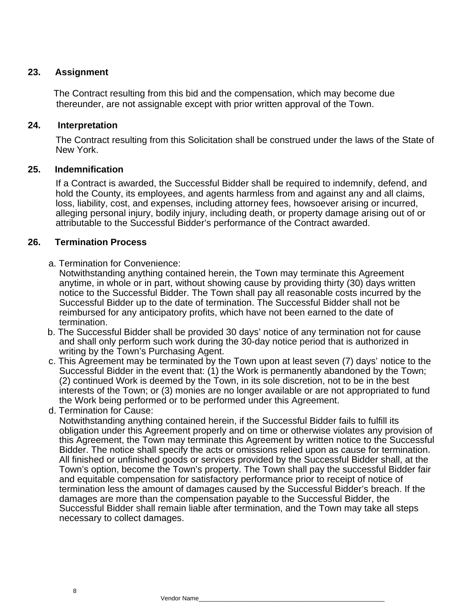#### **23. Assignment**

 The Contract resulting from this bid and the compensation, which may become due thereunder, are not assignable except with prior written approval of the Town.

#### **24. Interpretation**

The Contract resulting from this Solicitation shall be construed under the laws of the State of New York.

#### **25. Indemnification**

If a Contract is awarded, the Successful Bidder shall be required to indemnify, defend, and hold the County, its employees, and agents harmless from and against any and all claims, loss, liability, cost, and expenses, including attorney fees, howsoever arising or incurred, alleging personal injury, bodily injury, including death, or property damage arising out of or attributable to the Successful Bidder's performance of the Contract awarded.

#### **26. Termination Process**

a. Termination for Convenience:

Notwithstanding anything contained herein, the Town may terminate this Agreement anytime, in whole or in part, without showing cause by providing thirty (30) days written notice to the Successful Bidder. The Town shall pay all reasonable costs incurred by the Successful Bidder up to the date of termination. The Successful Bidder shall not be reimbursed for any anticipatory profits, which have not been earned to the date of termination.

- b. The Successful Bidder shall be provided 30 days' notice of any termination not for cause and shall only perform such work during the 30-day notice period that is authorized in writing by the Town's Purchasing Agent.
- c. This Agreement may be terminated by the Town upon at least seven (7) days' notice to the Successful Bidder in the event that: (1) the Work is permanently abandoned by the Town; (2) continued Work is deemed by the Town, in its sole discretion, not to be in the best interests of the Town; or (3) monies are no longer available or are not appropriated to fund the Work being performed or to be performed under this Agreement.
- d. Termination for Cause:

Notwithstanding anything contained herein, if the Successful Bidder fails to fulfill its obligation under this Agreement properly and on time or otherwise violates any provision of this Agreement, the Town may terminate this Agreement by written notice to the Successful Bidder. The notice shall specify the acts or omissions relied upon as cause for termination. All finished or unfinished goods or services provided by the Successful Bidder shall, at the Town's option, become the Town's property. The Town shall pay the successful Bidder fair and equitable compensation for satisfactory performance prior to receipt of notice of termination less the amount of damages caused by the Successful Bidder's breach. If the damages are more than the compensation payable to the Successful Bidder, the Successful Bidder shall remain liable after termination, and the Town may take all steps necessary to collect damages.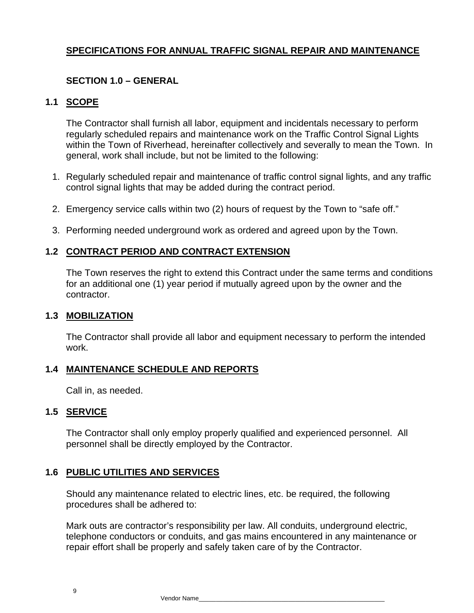## **SPECIFICATIONS FOR ANNUAL TRAFFIC SIGNAL REPAIR AND MAINTENANCE**

## **SECTION 1.0 – GENERAL**

## **1.1 SCOPE**

The Contractor shall furnish all labor, equipment and incidentals necessary to perform regularly scheduled repairs and maintenance work on the Traffic Control Signal Lights within the Town of Riverhead, hereinafter collectively and severally to mean the Town. In general, work shall include, but not be limited to the following:

- 1. Regularly scheduled repair and maintenance of traffic control signal lights, and any traffic control signal lights that may be added during the contract period.
- 2. Emergency service calls within two (2) hours of request by the Town to "safe off."
- 3. Performing needed underground work as ordered and agreed upon by the Town.

## **1.2 CONTRACT PERIOD AND CONTRACT EXTENSION**

The Town reserves the right to extend this Contract under the same terms and conditions for an additional one (1) year period if mutually agreed upon by the owner and the contractor.

#### **1.3 MOBILIZATION**

The Contractor shall provide all labor and equipment necessary to perform the intended work.

## **1.4 MAINTENANCE SCHEDULE AND REPORTS**

Call in, as needed.

## **1.5 SERVICE**

The Contractor shall only employ properly qualified and experienced personnel. All personnel shall be directly employed by the Contractor.

## **1.6 PUBLIC UTILITIES AND SERVICES**

Should any maintenance related to electric lines, etc. be required, the following procedures shall be adhered to:

Mark outs are contractor's responsibility per law. All conduits, underground electric, telephone conductors or conduits, and gas mains encountered in any maintenance or repair effort shall be properly and safely taken care of by the Contractor.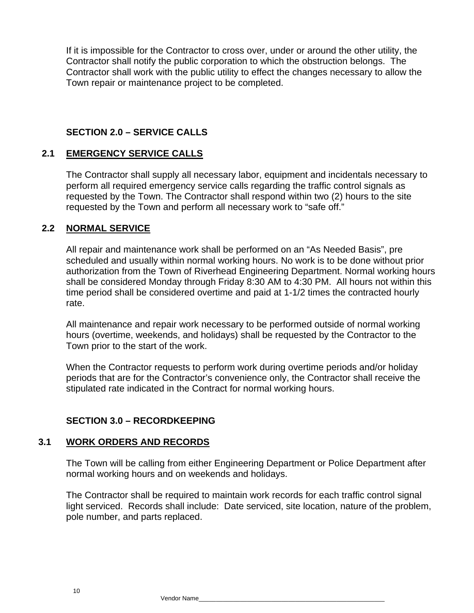If it is impossible for the Contractor to cross over, under or around the other utility, the Contractor shall notify the public corporation to which the obstruction belongs. The Contractor shall work with the public utility to effect the changes necessary to allow the Town repair or maintenance project to be completed.

#### **SECTION 2.0 – SERVICE CALLS**

#### **2.1 EMERGENCY SERVICE CALLS**

The Contractor shall supply all necessary labor, equipment and incidentals necessary to perform all required emergency service calls regarding the traffic control signals as requested by the Town. The Contractor shall respond within two (2) hours to the site requested by the Town and perform all necessary work to "safe off."

#### **2.2 NORMAL SERVICE**

All repair and maintenance work shall be performed on an "As Needed Basis", pre scheduled and usually within normal working hours. No work is to be done without prior authorization from the Town of Riverhead Engineering Department. Normal working hours shall be considered Monday through Friday 8:30 AM to 4:30 PM. All hours not within this time period shall be considered overtime and paid at 1-1/2 times the contracted hourly rate.

All maintenance and repair work necessary to be performed outside of normal working hours (overtime, weekends, and holidays) shall be requested by the Contractor to the Town prior to the start of the work.

When the Contractor requests to perform work during overtime periods and/or holiday periods that are for the Contractor's convenience only, the Contractor shall receive the stipulated rate indicated in the Contract for normal working hours.

## **SECTION 3.0 – RECORDKEEPING**

#### **3.1 WORK ORDERS AND RECORDS**

The Town will be calling from either Engineering Department or Police Department after normal working hours and on weekends and holidays.

The Contractor shall be required to maintain work records for each traffic control signal light serviced. Records shall include: Date serviced, site location, nature of the problem, pole number, and parts replaced.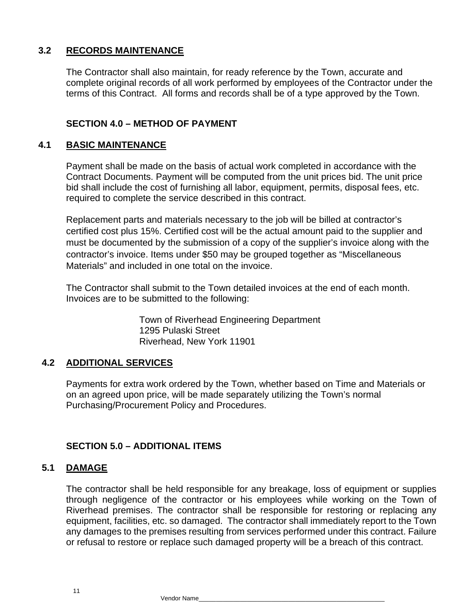## **3.2 RECORDS MAINTENANCE**

The Contractor shall also maintain, for ready reference by the Town, accurate and complete original records of all work performed by employees of the Contractor under the terms of this Contract. All forms and records shall be of a type approved by the Town.

#### **SECTION 4.0 – METHOD OF PAYMENT**

#### **4.1 BASIC MAINTENANCE**

Payment shall be made on the basis of actual work completed in accordance with the Contract Documents. Payment will be computed from the unit prices bid. The unit price bid shall include the cost of furnishing all labor, equipment, permits, disposal fees, etc. required to complete the service described in this contract.

Replacement parts and materials necessary to the job will be billed at contractor's certified cost plus 15%. Certified cost will be the actual amount paid to the supplier and must be documented by the submission of a copy of the supplier's invoice along with the contractor's invoice. Items under \$50 may be grouped together as "Miscellaneous Materials" and included in one total on the invoice.

The Contractor shall submit to the Town detailed invoices at the end of each month. Invoices are to be submitted to the following:

> Town of Riverhead Engineering Department 1295 Pulaski Street Riverhead, New York 11901

#### **4.2 ADDITIONAL SERVICES**

Payments for extra work ordered by the Town, whether based on Time and Materials or on an agreed upon price, will be made separately utilizing the Town's normal Purchasing/Procurement Policy and Procedures.

#### **SECTION 5.0 – ADDITIONAL ITEMS**

#### **5.1 DAMAGE**

The contractor shall be held responsible for any breakage, loss of equipment or supplies through negligence of the contractor or his employees while working on the Town of Riverhead premises. The contractor shall be responsible for restoring or replacing any equipment, facilities, etc. so damaged. The contractor shall immediately report to the Town any damages to the premises resulting from services performed under this contract. Failure or refusal to restore or replace such damaged property will be a breach of this contract.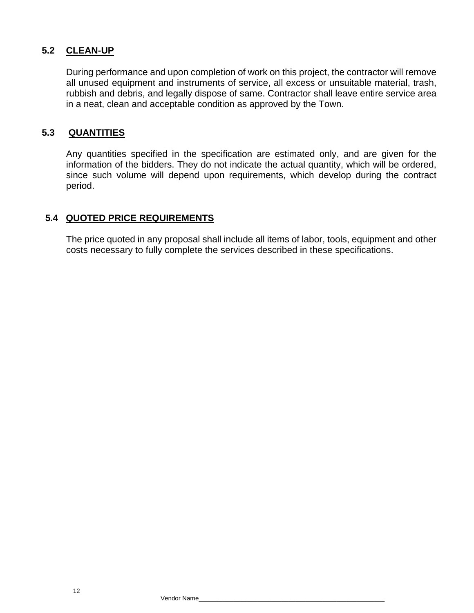## **5.2 CLEAN-UP**

During performance and upon completion of work on this project, the contractor will remove all unused equipment and instruments of service, all excess or unsuitable material, trash, rubbish and debris, and legally dispose of same. Contractor shall leave entire service area in a neat, clean and acceptable condition as approved by the Town.

#### **5.3 QUANTITIES**

Any quantities specified in the specification are estimated only, and are given for the information of the bidders. They do not indicate the actual quantity, which will be ordered, since such volume will depend upon requirements, which develop during the contract period.

#### **5.4 QUOTED PRICE REQUIREMENTS**

The price quoted in any proposal shall include all items of labor, tools, equipment and other costs necessary to fully complete the services described in these specifications.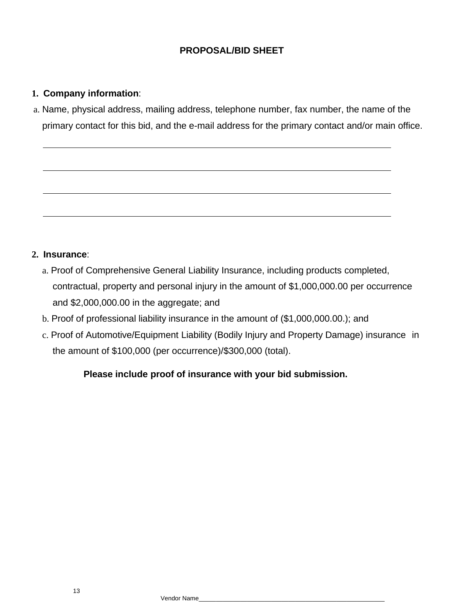## **PROPOSAL/BID SHEET**

#### **1. Company information**:

a. Name, physical address, mailing address, telephone number, fax number, the name of the primary contact for this bid, and the e-mail address for the primary contact and/or main office.

#### **2. Insurance**:

- a. Proof of Comprehensive General Liability Insurance, including products completed, contractual, property and personal injury in the amount of \$1,000,000.00 per occurrence and \$2,000,000.00 in the aggregate; and
- b. Proof of professional liability insurance in the amount of (\$1,000,000.00.); and
- c. Proof of Automotive/Equipment Liability (Bodily Injury and Property Damage) insurance in the amount of \$100,000 (per occurrence)/\$300,000 (total).

## **Please include proof of insurance with your bid submission.**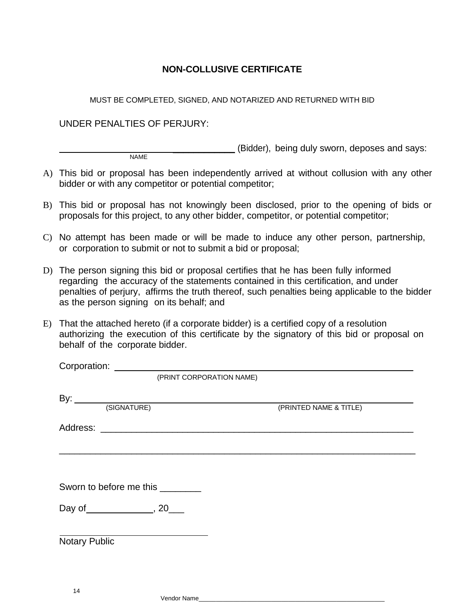## **NON-COLLUSIVE CERTIFICATE**

MUST BE COMPLETED, SIGNED, AND NOTARIZED AND RETURNED WITH BID

UNDER PENALTIES OF PERJURY:

NAME

\_\_\_\_\_\_\_\_\_\_\_\_ (Bidder), being duly sworn, deposes and says:

- A) This bid or proposal has been independently arrived at without collusion with any other bidder or with any competitor or potential competitor;
- B) This bid or proposal has not knowingly been disclosed, prior to the opening of bids or proposals for this project, to any other bidder, competitor, or potential competitor;
- C) No attempt has been made or will be made to induce any other person, partnership, or corporation to submit or not to submit a bid or proposal;
- D) The person signing this bid or proposal certifies that he has been fully informed regarding the accuracy of the statements contained in this certification, and under penalties of perjury, affirms the truth thereof, such penalties being applicable to the bidder as the person signing on its behalf; and
- E) That the attached hereto (if a corporate bidder) is a certified copy of a resolution authorizing the execution of this certificate by the signatory of this bid or proposal on behalf of the corporate bidder.

| Corporation: <u>compared by the contract of</u> |                        |
|-------------------------------------------------|------------------------|
| (PRINT CORPORATION NAME)                        |                        |
|                                                 |                        |
|                                                 | (PRINTED NAME & TITLE) |
|                                                 |                        |
|                                                 |                        |
|                                                 |                        |
| Sworn to before me this ________                |                        |
|                                                 |                        |
|                                                 |                        |
| <b>Notary Public</b>                            |                        |
|                                                 |                        |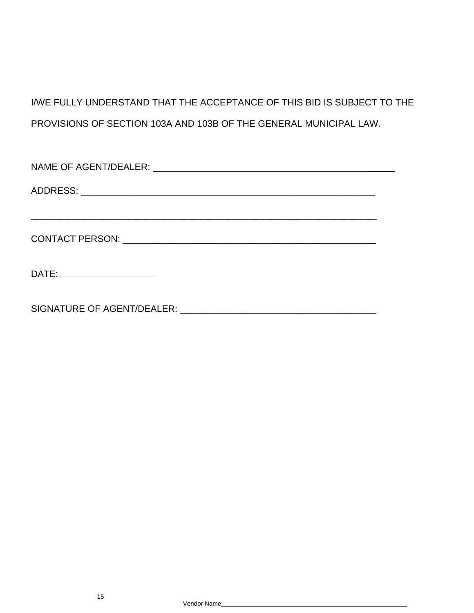# I/WE FULLY UNDERSTAND THAT THE ACCEPTANCE OF THIS BID IS SUBJECT TO THE PROVISIONS OF SECTION 103A AND 103B OF THE GENERAL MUNICIPAL LAW.

| DATE: ________________________ |  |
|--------------------------------|--|
|                                |  |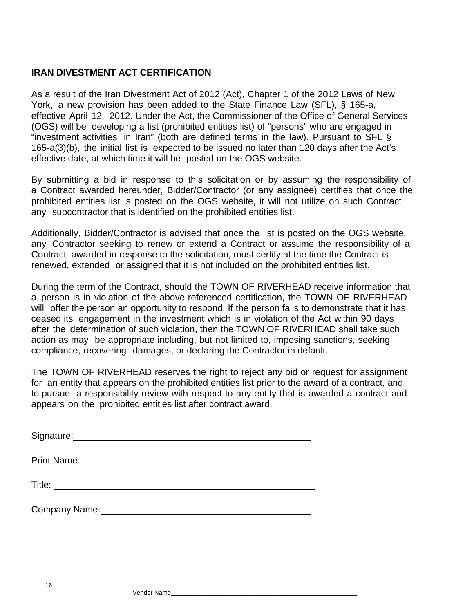#### **IRAN DIVESTMENT ACT CERTIFICATION**

As a result of the Iran Divestment Act of 2012 (Act), Chapter 1 of the 2012 Laws of New York, a new provision has been added to the State Finance Law (SFL), § 165-a, effective April 12, 2012. Under the Act, the Commissioner of the Office of General Services (OGS) will be developing a list (prohibited entities list) of "persons" who are engaged in "investment activities in Iran" (both are defined terms in the law). Pursuant to SFL § 165-a(3)(b), the initial list is expected to be issued no later than 120 days after the Act's effective date, at which time it will be posted on the OGS website.

By submitting a bid in response to this solicitation or by assuming the responsibility of a Contract awarded hereunder, Bidder/Contractor (or any assignee) certifies that once the prohibited entities list is posted on the OGS website, it will not utilize on such Contract any subcontractor that is identified on the prohibited entities list.

Additionally, Bidder/Contractor is advised that once the list is posted on the OGS website, any Contractor seeking to renew or extend a Contract or assume the responsibility of a Contract awarded in response to the solicitation, must certify at the time the Contract is renewed, extended or assigned that it is not included on the prohibited entities list.

During the term of the Contract, should the TOWN OF RIVERHEAD receive information that a person is in violation of the above-referenced certification, the TOWN OF RIVERHEAD will offer the person an opportunity to respond. If the person fails to demonstrate that it has ceased its engagement in the investment which is in violation of the Act within 90 days after the determination of such violation, then the TOWN OF RIVERHEAD shall take such action as may be appropriate including, but not limited to, imposing sanctions, seeking compliance, recovering damages, or declaring the Contractor in default.

The TOWN OF RIVERHEAD reserves the right to reject any bid or request for assignment for an entity that appears on the prohibited entities list prior to the award of a contract, and to pursue a responsibility review with respect to any entity that is awarded a contract and appears on the prohibited entities list after contract award.

Signature: **Signature: Signature: Signature: Signature: Signature: Signature: Signature: Signature: Signature: Signature: Signature: Signature: Signature: Signature: Signature: Signature: Si** 

Print Name:

Title:

Company Name: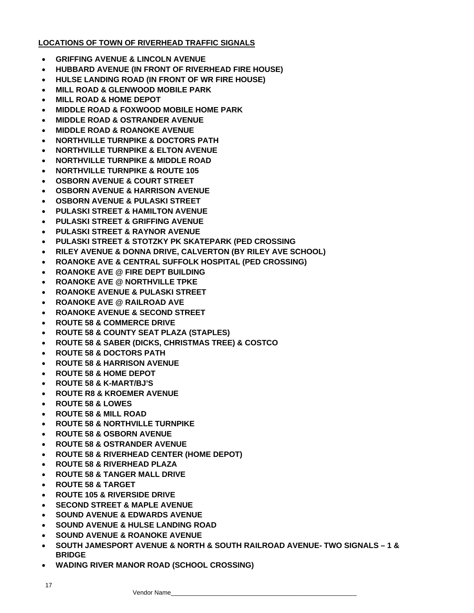#### **LOCATIONS OF TOWN OF RIVERHEAD TRAFFIC SIGNALS**

- **GRIFFING AVENUE & LINCOLN AVENUE**
- **HUBBARD AVENUE (IN FRONT OF RIVERHEAD FIRE HOUSE)**
- **HULSE LANDING ROAD (IN FRONT OF WR FIRE HOUSE)**
- **MILL ROAD & GLENWOOD MOBILE PARK**
- **MILL ROAD & HOME DEPOT**
- **MIDDLE ROAD & FOXWOOD MOBILE HOME PARK**
- **MIDDLE ROAD & OSTRANDER AVENUE**
- **MIDDLE ROAD & ROANOKE AVENUE**
- **NORTHVILLE TURNPIKE & DOCTORS PATH**
- **NORTHVILLE TURNPIKE & ELTON AVENUE**
- **NORTHVILLE TURNPIKE & MIDDLE ROAD**
- **NORTHVILLE TURNPIKE & ROUTE 105**
- **OSBORN AVENUE & COURT STREET**
- **OSBORN AVENUE & HARRISON AVENUE**
- **OSBORN AVENUE & PULASKI STREET**
- **PULASKI STREET & HAMILTON AVENUE**
- **PULASKI STREET & GRIFFING AVENUE**
- **PULASKI STREET & RAYNOR AVENUE**
- **PULASKI STREET & STOTZKY PK SKATEPARK (PED CROSSING**
- **RILEY AVENUE & DONNA DRIVE, CALVERTON (BY RILEY AVE SCHOOL)**
- **ROANOKE AVE & CENTRAL SUFFOLK HOSPITAL (PED CROSSING)**
- **ROANOKE AVE @ FIRE DEPT BUILDING**
- **ROANOKE AVE @ NORTHVILLE TPKE**
- **ROANOKE AVENUE & PULASKI STREET**
- **ROANOKE AVE @ RAILROAD AVE**
- **ROANOKE AVENUE & SECOND STREET**
- **ROUTE 58 & COMMERCE DRIVE**
- **ROUTE 58 & COUNTY SEAT PLAZA (STAPLES)**
- **ROUTE 58 & SABER (DICKS, CHRISTMAS TREE) & COSTCO**
- **ROUTE 58 & DOCTORS PATH**
- **ROUTE 58 & HARRISON AVENUE**
- **ROUTE 58 & HOME DEPOT**
- **ROUTE 58 & K-MART/BJ'S**
- **ROUTE R8 & KROEMER AVENUE**
- **ROUTE 58 & LOWES**
- **ROUTE 58 & MILL ROAD**
- **ROUTE 58 & NORTHVILLE TURNPIKE**
- **ROUTE 58 & OSBORN AVENUE**
- **ROUTE 58 & OSTRANDER AVENUE**
- **ROUTE 58 & RIVERHEAD CENTER (HOME DEPOT)**
- **ROUTE 58 & RIVERHEAD PLAZA**
- **ROUTE 58 & TANGER MALL DRIVE**
- **ROUTE 58 & TARGET**
- **ROUTE 105 & RIVERSIDE DRIVE**
- **SECOND STREET & MAPLE AVENUE**
- **SOUND AVENUE & EDWARDS AVENUE**
- **SOUND AVENUE & HULSE LANDING ROAD**
- **SOUND AVENUE & ROANOKE AVENUE**
- **SOUTH JAMESPORT AVENUE & NORTH & SOUTH RAILROAD AVENUE- TWO SIGNALS 1 & BRIDGE**
- **WADING RIVER MANOR ROAD (SCHOOL CROSSING)**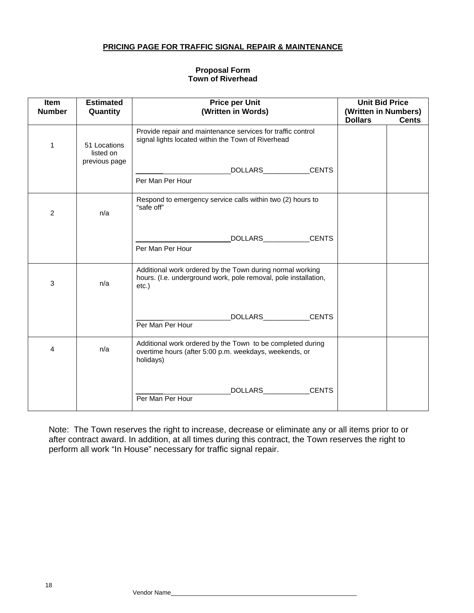#### **PRICING PAGE FOR TRAFFIC SIGNAL REPAIR & MAINTENANCE**

#### **Proposal Form Town of Riverhead**

| Item<br><b>Number</b> | <b>Price per Unit</b><br><b>Estimated</b><br>(Written in Words)<br>Quantity |                                                                                                                                       | <b>Unit Bid Price</b><br>(Written in Numbers) |              |
|-----------------------|-----------------------------------------------------------------------------|---------------------------------------------------------------------------------------------------------------------------------------|-----------------------------------------------|--------------|
|                       |                                                                             |                                                                                                                                       | <b>Dollars</b>                                | <b>Cents</b> |
| 1                     | 51 Locations<br>listed on<br>previous page                                  | Provide repair and maintenance services for traffic control<br>signal lights located within the Town of Riverhead                     |                                               |              |
|                       |                                                                             | DOLLARS___________CENTS                                                                                                               |                                               |              |
|                       |                                                                             | Per Man Per Hour                                                                                                                      |                                               |              |
| $\overline{2}$        | n/a                                                                         | Respond to emergency service calls within two (2) hours to<br>"safe off"                                                              |                                               |              |
|                       |                                                                             | DOLLARS CENTS                                                                                                                         |                                               |              |
|                       |                                                                             | Per Man Per Hour                                                                                                                      |                                               |              |
| 3                     | n/a                                                                         | Additional work ordered by the Town during normal working<br>hours. (I.e. underground work, pole removal, pole installation,<br>etc.) |                                               |              |
|                       |                                                                             | DOLLARS_____________CENTS<br>Per Man Per Hour                                                                                         |                                               |              |
| 4                     | n/a                                                                         | Additional work ordered by the Town to be completed during<br>overtime hours (after 5:00 p.m. weekdays, weekends, or<br>holidays)     |                                               |              |
|                       |                                                                             | <b>DOLLARS</b><br><b>CENTS</b><br>Per Man Per Hour                                                                                    |                                               |              |

Note: The Town reserves the right to increase, decrease or eliminate any or all items prior to or after contract award. In addition, at all times during this contract, the Town reserves the right to perform all work "In House" necessary for traffic signal repair.